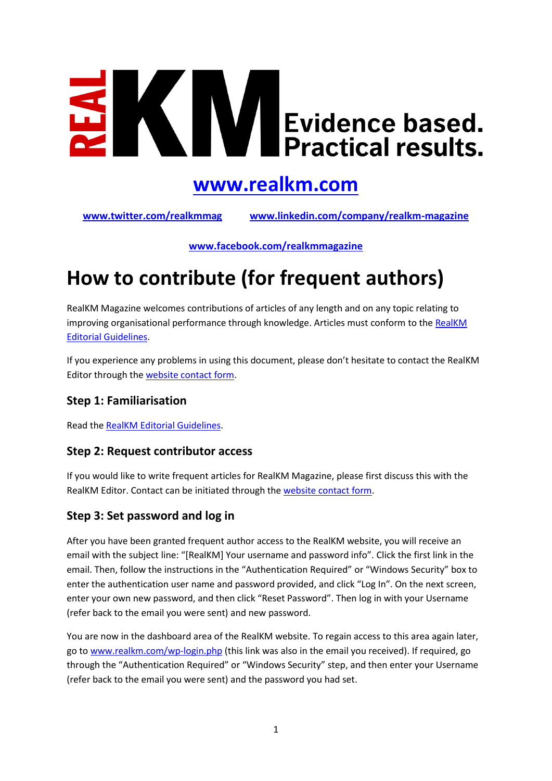# $\blacksquare$ Evidence based.<br>Practical results.

### **[www.realkm.com](http://www.realkm.com/)**

**[www.twitter.com/realkmmag](http://www.twitter.com/realkmmag) [www.linkedin.com/company/realkm-magazine](http://www.linkedin.com/company/realkm-magazine)**

**[www.facebook.com/realkmmagazine](http://www.facebook.com/realkmmagazine)**

## **How to contribute (for frequent authors)**

RealKM Magazine welcomes contributions of articles of any length and on any topic relating to improving organisational performance through knowledge. Articles must conform to th[e RealKM](http://realkm.com/go/realkm-editorial-guidelines/)  [Editorial Guidelines.](http://realkm.com/go/realkm-editorial-guidelines/)

If you experience any problems in using this document, please don't hesitate to contact the RealKM Editor through the [website contact form.](http://realkm.com/contact/)

#### **Step 1: Familiarisation**

Read th[e RealKM Editorial Guidelines.](http://realkm.com/go/realkm-editorial-guidelines/)

#### **Step 2: Request contributor access**

If you would like to write frequent articles for RealKM Magazine, please first discuss this with the RealKM Editor. Contact can be initiated through th[e website contact form.](http://realkm.com/contact/)

#### **Step 3: Set password and log in**

After you have been granted frequent author access to the RealKM website, you will receive an email with the subject line: "[RealKM] Your username and password info". Click the first link in the email. Then, follow the instructions in the "Authentication Required" or "Windows Security" box to enter the authentication user name and password provided, and click "Log In". On the next screen, enter your own new password, and then click "Reset Password". Then log in with your Username (refer back to the email you were sent) and new password.

You are now in the dashboard area of the RealKM website. To regain access to this area again later, go to [www.realkm.com/wp-login.php](http://www.realkm.com/wp-login.php) (this link was also in the email you received). If required, go through the "Authentication Required" or "Windows Security" step, and then enter your Username (refer back to the email you were sent) and the password you had set.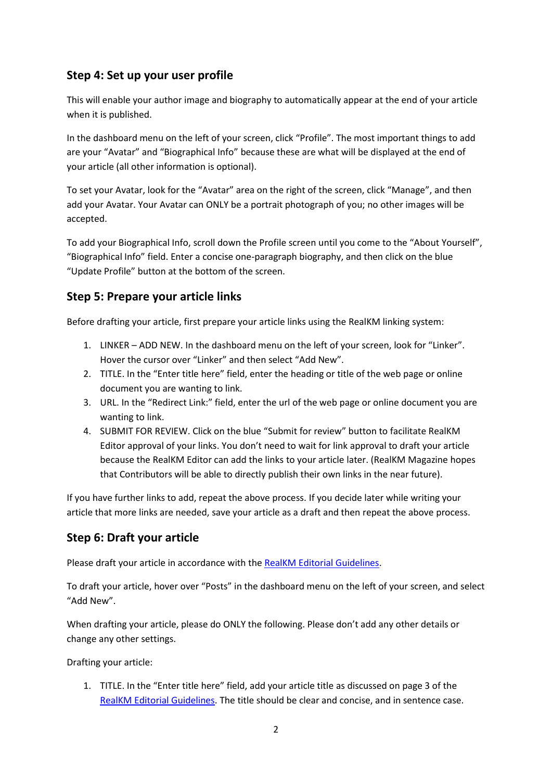#### **Step 4: Set up your user profile**

This will enable your author image and biography to automatically appear at the end of your article when it is published.

In the dashboard menu on the left of your screen, click "Profile". The most important things to add are your "Avatar" and "Biographical Info" because these are what will be displayed at the end of your article (all other information is optional).

To set your Avatar, look for the "Avatar" area on the right of the screen, click "Manage", and then add your Avatar. Your Avatar can ONLY be a portrait photograph of you; no other images will be accepted.

To add your Biographical Info, scroll down the Profile screen until you come to the "About Yourself", "Biographical Info" field. Enter a concise one-paragraph biography, and then click on the blue "Update Profile" button at the bottom of the screen.

#### **Step 5: Prepare your article links**

Before drafting your article, first prepare your article links using the RealKM linking system:

- 1. LINKER ADD NEW. In the dashboard menu on the left of your screen, look for "Linker". Hover the cursor over "Linker" and then select "Add New".
- 2. TITLE. In the "Enter title here" field, enter the heading or title of the web page or online document you are wanting to link.
- 3. URL. In the "Redirect Link:" field, enter the url of the web page or online document you are wanting to link.
- 4. SUBMIT FOR REVIEW. Click on the blue "Submit for review" button to facilitate RealKM Editor approval of your links. You don't need to wait for link approval to draft your article because the RealKM Editor can add the links to your article later. (RealKM Magazine hopes that Contributors will be able to directly publish their own links in the near future).

If you have further links to add, repeat the above process. If you decide later while writing your article that more links are needed, save your article as a draft and then repeat the above process.

#### **Step 6: Draft your article**

Please draft your article in accordance with the [RealKM Editorial Guidelines.](http://realkm.com/go/realkm-editorial-guidelines/)

To draft your article, hover over "Posts" in the dashboard menu on the left of your screen, and select "Add New".

When drafting your article, please do ONLY the following. Please don't add any other details or change any other settings.

Drafting your article:

1. TITLE. In the "Enter title here" field, add your article title as discussed on page 3 of the [RealKM Editorial Guidelines.](http://realkm.com/go/realkm-editorial-guidelines/) The title should be clear and concise, and in sentence case.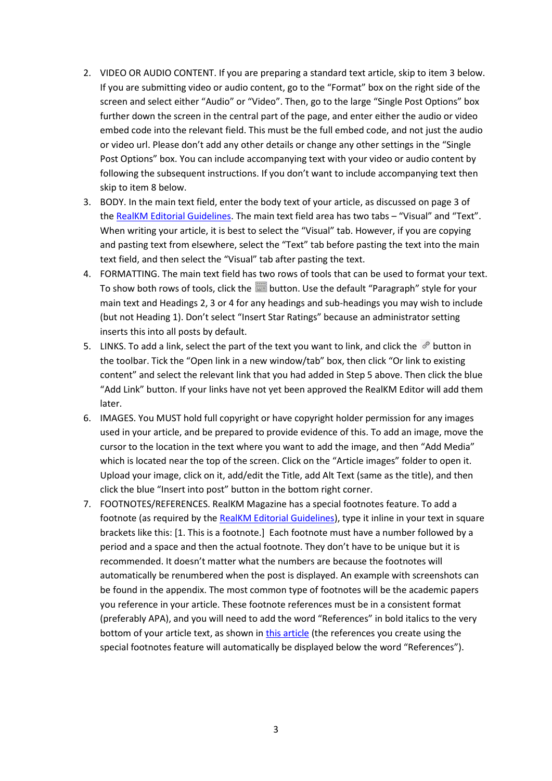- <span id="page-2-1"></span>2. VIDEO OR AUDIO CONTENT. If you are preparing a standard text article, skip to item [3](#page-2-0) below. If you are submitting video or audio content, go to the "Format" box on the right side of the screen and select either "Audio" or "Video". Then, go to the large "Single Post Options" box further down the screen in the central part of the page, and enter either the audio or video embed code into the relevant field. This must be the full embed code, and not just the audio or video url. Please don't add any other details or change any other settings in the "Single Post Options" box. You can include accompanying text with your video or audio content by following the subsequent instructions. If you don't want to include accompanying text then skip to item [8](#page-3-0) below.
- <span id="page-2-0"></span>3. BODY. In the main text field, enter the body text of your article, as discussed on page 3 of th[e RealKM Editorial Guidelines.](http://realkm.com/go/realkm-editorial-guidelines/) The main text field area has two tabs – "Visual" and "Text". When writing your article, it is best to select the "Visual" tab. However, if you are copying and pasting text from elsewhere, select the "Text" tab before pasting the text into the main text field, and then select the "Visual" tab after pasting the text.
- 4. FORMATTING. The main text field has two rows of tools that can be used to format your text. To show both rows of tools, click the button. Use the default "Paragraph" style for your main text and Headings 2, 3 or 4 for any headings and sub-headings you may wish to include (but not Heading 1). Don't select "Insert Star Ratings" because an administrator setting inserts this into all posts by default.
- 5. LINKS. To add a link, select the part of the text you want to link, and click the  $\mathscr O$  button in the toolbar. Tick the "Open link in a new window/tab" box, then click "Or link to existing content" and select the relevant link that you had added in Step 5 above. Then click the blue "Add Link" button. If your links have not yet been approved the RealKM Editor will add them later.
- 6. IMAGES. You MUST hold full copyright or have copyright holder permission for any images used in your article, and be prepared to provide evidence of this. To add an image, move the cursor to the location in the text where you want to add the image, and then "Add Media" which is located near the top of the screen. Click on the "Article images" folder to open it. Upload your image, click on it, add/edit the Title, add Alt Text (same as the title), and then click the blue "Insert into post" button in the bottom right corner.
- 7. FOOTNOTES/REFERENCES. RealKM Magazine has a special footnotes feature. To add a footnote (as required by the [RealKM Editorial Guidelines\)](http://realkm.com/go/realkm-editorial-guidelines/), type it inline in your text in square brackets like this: [1. This is a footnote.] Each footnote must have a number followed by a period and a space and then the actual footnote. They don't have to be unique but it is recommended. It doesn't matter what the numbers are because the footnotes will automatically be renumbered when the post is displayed. An example with screenshots can be found in the appendix. The most common type of footnotes will be the academic papers you reference in your article. These footnote references must be in a consistent format (preferably APA), and you will need to add the word "References" in bold italics to the very bottom of your article text, as shown i[n this article](http://realkm.com/2016/10/11/personality-tkms-research-purpose-conceptual-framework/) (the references you create using the special footnotes feature will automatically be displayed below the word "References").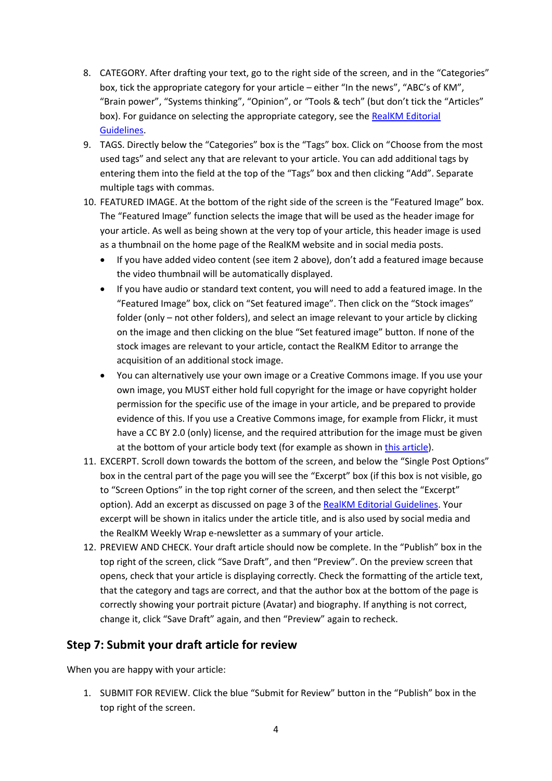- <span id="page-3-0"></span>8. CATEGORY. After drafting your text, go to the right side of the screen, and in the "Categories" box, tick the appropriate category for your article – either "In the news", "ABC's of KM", "Brain power", "Systems thinking", "Opinion", or "Tools & tech" (but don't tick the "Articles" box). For guidance on selecting the appropriate category, see the RealKM Editorial [Guidelines.](http://realkm.com/go/realkm-editorial-guidelines/)
- 9. TAGS. Directly below the "Categories" box is the "Tags" box. Click on "Choose from the most used tags" and select any that are relevant to your article. You can add additional tags by entering them into the field at the top of the "Tags" box and then clicking "Add". Separate multiple tags with commas.
- 10. FEATURED IMAGE. At the bottom of the right side of the screen is the "Featured Image" box. The "Featured Image" function selects the image that will be used as the header image for your article. As well as being shown at the very top of your article, this header image is used as a thumbnail on the home page of the RealKM website and in social media posts.
	- If you have added video content (see ite[m 2](#page-2-1) above), don't add a featured image because the video thumbnail will be automatically displayed.
	- If you have audio or standard text content, you will need to add a featured image. In the "Featured Image" box, click on "Set featured image". Then click on the "Stock images" folder (only – not other folders), and select an image relevant to your article by clicking on the image and then clicking on the blue "Set featured image" button. If none of the stock images are relevant to your article, contact the RealKM Editor to arrange the acquisition of an additional stock image.
	- You can alternatively use your own image or a Creative Commons image. If you use your own image, you MUST either hold full copyright for the image or have copyright holder permission for the specific use of the image in your article, and be prepared to provide evidence of this. If you use a Creative Commons image, for example from Flickr, it must have a CC BY 2.0 (only) license, and the required attribution for the image must be given at the bottom of your article body text (for example as shown in [this article\)](http://realkm.com/2016/11/11/the-impact-of-social-media-on-knowledge-management/).
- 11. EXCERPT. Scroll down towards the bottom of the screen, and below the "Single Post Options" box in the central part of the page you will see the "Excerpt" box (if this box is not visible, go to "Screen Options" in the top right corner of the screen, and then select the "Excerpt" option). Add an excerpt as discussed on page 3 of the [RealKM Editorial Guidelines.](http://realkm.com/go/realkm-editorial-guidelines/) Your excerpt will be shown in italics under the article title, and is also used by social media and the RealKM Weekly Wrap e-newsletter as a summary of your article.
- 12. PREVIEW AND CHECK. Your draft article should now be complete. In the "Publish" box in the top right of the screen, click "Save Draft", and then "Preview". On the preview screen that opens, check that your article is displaying correctly. Check the formatting of the article text, that the category and tags are correct, and that the author box at the bottom of the page is correctly showing your portrait picture (Avatar) and biography. If anything is not correct, change it, click "Save Draft" again, and then "Preview" again to recheck.

#### **Step 7: Submit your draft article for review**

When you are happy with your article:

1. SUBMIT FOR REVIEW. Click the blue "Submit for Review" button in the "Publish" box in the top right of the screen.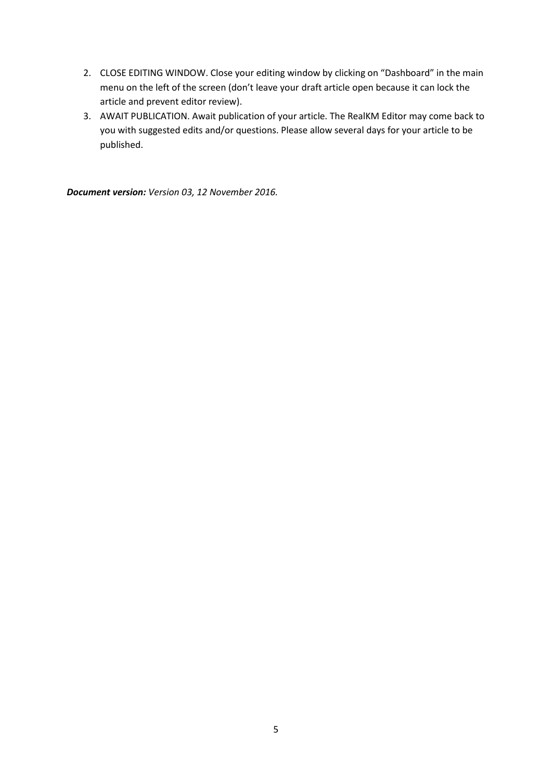- 2. CLOSE EDITING WINDOW. Close your editing window by clicking on "Dashboard" in the main menu on the left of the screen (don't leave your draft article open because it can lock the article and prevent editor review).
- 3. AWAIT PUBLICATION. Await publication of your article. The RealKM Editor may come back to you with suggested edits and/or questions. Please allow several days for your article to be published.

*Document version: Version 03, 12 November 2016.*